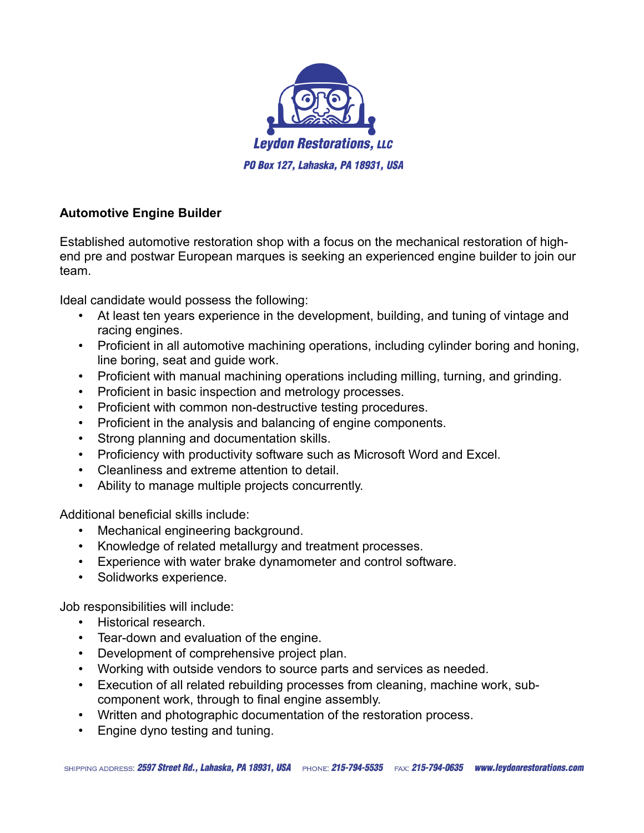

## **Automotive Engine Builder**

Established automotive restoration shop with a focus on the mechanical restoration of highend pre and postwar European marques is seeking an experienced engine builder to join our team.

Ideal candidate would possess the following:

- At least ten years experience in the development, building, and tuning of vintage and racing engines.
- Proficient in all automotive machining operations, including cylinder boring and honing, line boring, seat and guide work.
- Proficient with manual machining operations including milling, turning, and grinding.
- Proficient in basic inspection and metrology processes.
- Proficient with common non-destructive testing procedures.
- Proficient in the analysis and balancing of engine components.
- Strong planning and documentation skills.
- Proficiency with productivity software such as Microsoft Word and Excel.
- Cleanliness and extreme attention to detail.
- Ability to manage multiple projects concurrently.

Additional beneficial skills include:

- Mechanical engineering background.
- Knowledge of related metallurgy and treatment processes.
- Experience with water brake dynamometer and control software.
- Solidworks experience.

Job responsibilities will include:

- Historical research.
- Tear-down and evaluation of the engine.
- Development of comprehensive project plan.
- Working with outside vendors to source parts and services as needed.
- Execution of all related rebuilding processes from cleaning, machine work, subcomponent work, through to final engine assembly.
- Written and photographic documentation of the restoration process.
- Engine dyno testing and tuning.